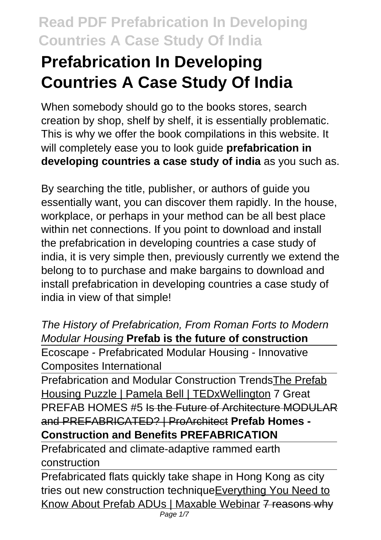# **Prefabrication In Developing Countries A Case Study Of India**

When somebody should go to the books stores, search creation by shop, shelf by shelf, it is essentially problematic. This is why we offer the book compilations in this website. It will completely ease you to look guide **prefabrication in developing countries a case study of india** as you such as.

By searching the title, publisher, or authors of guide you essentially want, you can discover them rapidly. In the house, workplace, or perhaps in your method can be all best place within net connections. If you point to download and install the prefabrication in developing countries a case study of india, it is very simple then, previously currently we extend the belong to to purchase and make bargains to download and install prefabrication in developing countries a case study of india in view of that simple!

The History of Prefabrication, From Roman Forts to Modern Modular Housing **Prefab is the future of construction** Ecoscape - Prefabricated Modular Housing - Innovative

Composites International

Prefabrication and Modular Construction TrendsThe Prefab Housing Puzzle | Pamela Bell | TEDxWellington 7 Great PREFAB HOMES #5 Is the Future of Architecture MODULAR and PREFABRICATED? | ProArchitect **Prefab Homes - Construction and Benefits PREFABRICATION**

Prefabricated and climate-adaptive rammed earth construction

Prefabricated flats quickly take shape in Hong Kong as city tries out new construction techniqueEverything You Need to Know About Prefab ADUs | Maxable Webinar 7 reasons why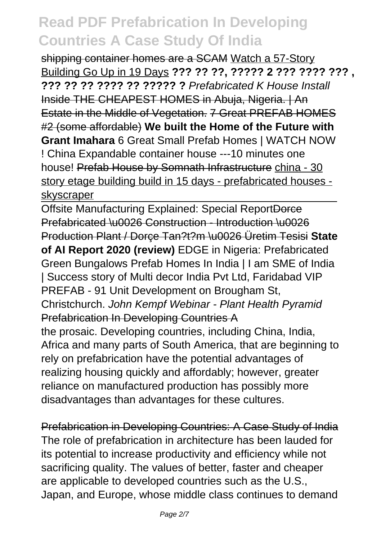shipping container homes are a SCAM Watch a 57-Story Building Go Up in 19 Days **??? ?? ??, ????? 2 ??? ???? ??? , ??? ?? ?? ???? ?? ????? ?** Prefabricated K House Install Inside THE CHEAPEST HOMES in Abuja, Nigeria. | An Estate in the Middle of Vegetation. 7 Great PREFAB HOMES #2 (some affordable) **We built the Home of the Future with Grant Imahara** 6 Great Small Prefab Homes | WATCH NOW ! China Expandable container house ---10 minutes one house! Prefab House by Somnath Infrastructure china - 30 story etage building build in 15 days - prefabricated houses skyscraper

Offsite Manufacturing Explained: Special ReportDorce Prefabricated \u0026 Construction - Introduction \u0026 Production Plant / Dorçe Tan?t?m \u0026 Üretim Tesisi **State of AI Report 2020 (review)** EDGE in Nigeria: Prefabricated Green Bungalows Prefab Homes In India | I am SME of India | Success story of Multi decor India Pvt Ltd, Faridabad VIP PREFAB - 91 Unit Development on Brougham St, Christchurch. John Kempf Webinar - Plant Health Pyramid Prefabrication In Developing Countries A the prosaic. Developing countries, including China, India, Africa and many parts of South America, that are beginning to rely on prefabrication have the potential advantages of

realizing housing quickly and affordably; however, greater reliance on manufactured production has possibly more disadvantages than advantages for these cultures.

Prefabrication in Developing Countries: A Case Study of India The role of prefabrication in architecture has been lauded for its potential to increase productivity and efficiency while not sacrificing quality. The values of better, faster and cheaper are applicable to developed countries such as the U.S., Japan, and Europe, whose middle class continues to demand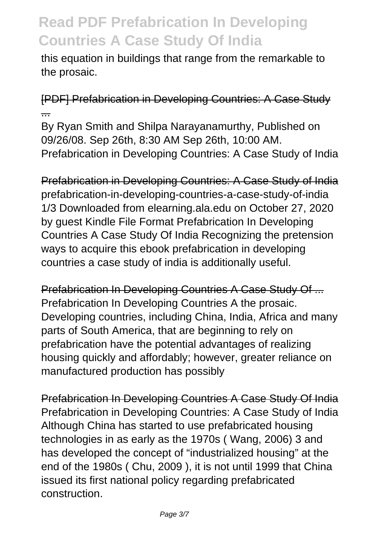this equation in buildings that range from the remarkable to the prosaic.

#### [PDF] Prefabrication in Developing Countries: A Case Study ...

By Ryan Smith and Shilpa Narayanamurthy, Published on 09/26/08. Sep 26th, 8:30 AM Sep 26th, 10:00 AM. Prefabrication in Developing Countries: A Case Study of India

Prefabrication in Developing Countries: A Case Study of India prefabrication-in-developing-countries-a-case-study-of-india 1/3 Downloaded from elearning.ala.edu on October 27, 2020 by guest Kindle File Format Prefabrication In Developing Countries A Case Study Of India Recognizing the pretension ways to acquire this ebook prefabrication in developing countries a case study of india is additionally useful.

Prefabrication In Developing Countries A Case Study Of ... Prefabrication In Developing Countries A the prosaic. Developing countries, including China, India, Africa and many parts of South America, that are beginning to rely on prefabrication have the potential advantages of realizing housing quickly and affordably; however, greater reliance on manufactured production has possibly

Prefabrication In Developing Countries A Case Study Of India Prefabrication in Developing Countries: A Case Study of India Although China has started to use prefabricated housing technologies in as early as the 1970s ( Wang, 2006) 3 and has developed the concept of "industrialized housing" at the end of the 1980s ( Chu, 2009 ), it is not until 1999 that China issued its first national policy regarding prefabricated construction.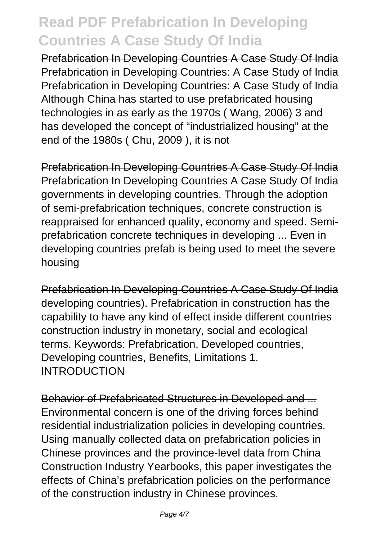Prefabrication In Developing Countries A Case Study Of India Prefabrication in Developing Countries: A Case Study of India Prefabrication in Developing Countries: A Case Study of India Although China has started to use prefabricated housing technologies in as early as the 1970s ( Wang, 2006) 3 and has developed the concept of "industrialized housing" at the end of the 1980s ( Chu, 2009 ), it is not

Prefabrication In Developing Countries A Case Study Of India Prefabrication In Developing Countries A Case Study Of India governments in developing countries. Through the adoption of semi-prefabrication techniques, concrete construction is reappraised for enhanced quality, economy and speed. Semiprefabrication concrete techniques in developing ... Even in developing countries prefab is being used to meet the severe housing

Prefabrication In Developing Countries A Case Study Of India developing countries). Prefabrication in construction has the capability to have any kind of effect inside different countries construction industry in monetary, social and ecological terms. Keywords: Prefabrication, Developed countries, Developing countries, Benefits, Limitations 1. INTRODUCTION

Behavior of Prefabricated Structures in Developed and ... Environmental concern is one of the driving forces behind residential industrialization policies in developing countries. Using manually collected data on prefabrication policies in Chinese provinces and the province-level data from China Construction Industry Yearbooks, this paper investigates the effects of China's prefabrication policies on the performance of the construction industry in Chinese provinces.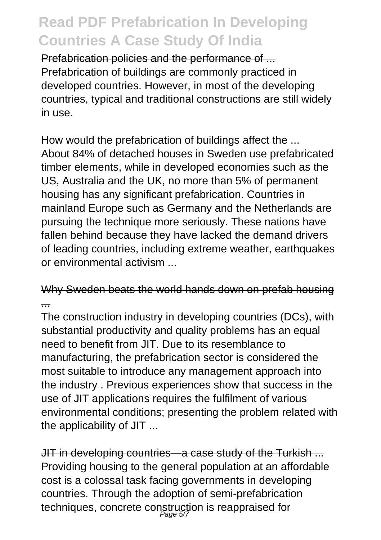Prefabrication policies and the performance of ... Prefabrication of buildings are commonly practiced in developed countries. However, in most of the developing countries, typical and traditional constructions are still widely in use.

How would the prefabrication of buildings affect the ... About 84% of detached houses in Sweden use prefabricated timber elements, while in developed economies such as the US, Australia and the UK, no more than 5% of permanent housing has any significant prefabrication. Countries in mainland Europe such as Germany and the Netherlands are pursuing the technique more seriously. These nations have fallen behind because they have lacked the demand drivers of leading countries, including extreme weather, earthquakes or environmental activism ...

#### Why Sweden beats the world hands down on prefab housing ...

The construction industry in developing countries (DCs), with substantial productivity and quality problems has an equal need to benefit from JIT. Due to its resemblance to manufacturing, the prefabrication sector is considered the most suitable to introduce any management approach into the industry . Previous experiences show that success in the use of JIT applications requires the fulfilment of various environmental conditions; presenting the problem related with the applicability of JIT ...

JIT in developing countries—a case study of the Turkish ... Providing housing to the general population at an affordable cost is a colossal task facing governments in developing countries. Through the adoption of semi-prefabrication techniques, concrete construction is reappraised for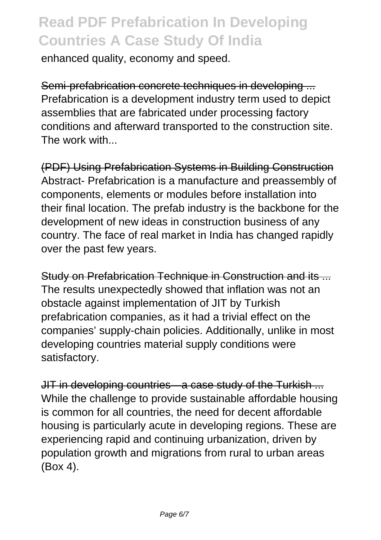enhanced quality, economy and speed.

Semi-prefabrication concrete techniques in developing ... Prefabrication is a development industry term used to depict assemblies that are fabricated under processing factory conditions and afterward transported to the construction site. The work with...

(PDF) Using Prefabrication Systems in Building Construction Abstract- Prefabrication is a manufacture and preassembly of components, elements or modules before installation into their final location. The prefab industry is the backbone for the development of new ideas in construction business of any country. The face of real market in India has changed rapidly over the past few years.

Study on Prefabrication Technique in Construction and its ... The results unexpectedly showed that inflation was not an obstacle against implementation of JIT by Turkish prefabrication companies, as it had a trivial effect on the companies' supply-chain policies. Additionally, unlike in most developing countries material supply conditions were satisfactory.

JIT in developing countries—a case study of the Turkish ... While the challenge to provide sustainable affordable housing is common for all countries, the need for decent affordable housing is particularly acute in developing regions. These are experiencing rapid and continuing urbanization, driven by population growth and migrations from rural to urban areas (Box 4).